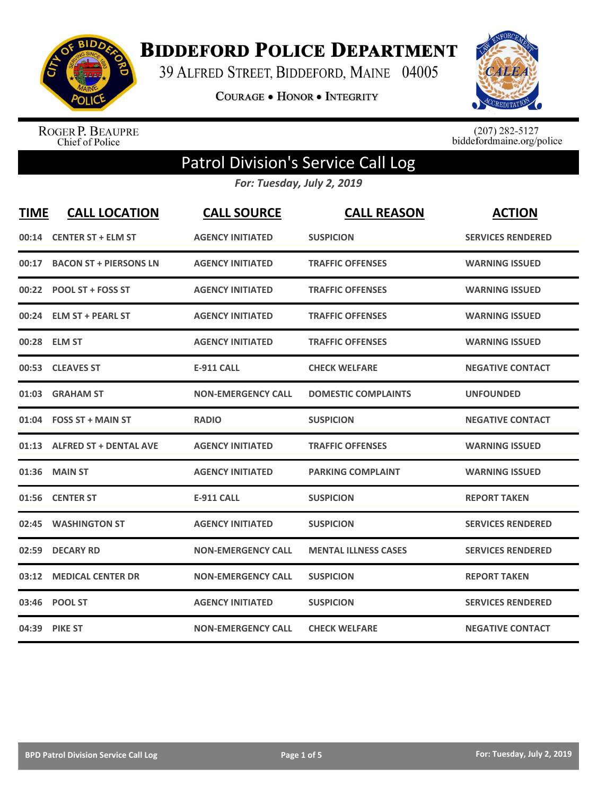

**BIDDEFORD POLICE DEPARTMENT** 

39 ALFRED STREET, BIDDEFORD, MAINE 04005

**COURAGE . HONOR . INTEGRITY** 



ROGER P. BEAUPRE<br>Chief of Police

 $(207)$  282-5127<br>biddefordmaine.org/police

## Patrol Division's Service Call Log

*For: Tuesday, July 2, 2019*

| <b>TIME</b> | <b>CALL LOCATION</b>         | <b>CALL SOURCE</b>        | <b>CALL REASON</b>          | <b>ACTION</b>            |
|-------------|------------------------------|---------------------------|-----------------------------|--------------------------|
|             | 00:14 CENTER ST + ELM ST     | <b>AGENCY INITIATED</b>   | <b>SUSPICION</b>            | <b>SERVICES RENDERED</b> |
|             | 00:17 BACON ST + PIERSONS LN | <b>AGENCY INITIATED</b>   | <b>TRAFFIC OFFENSES</b>     | <b>WARNING ISSUED</b>    |
|             | 00:22 POOL ST + FOSS ST      | <b>AGENCY INITIATED</b>   | <b>TRAFFIC OFFENSES</b>     | <b>WARNING ISSUED</b>    |
|             | 00:24 ELM ST + PEARL ST      | <b>AGENCY INITIATED</b>   | <b>TRAFFIC OFFENSES</b>     | <b>WARNING ISSUED</b>    |
|             | 00:28 ELM ST                 | <b>AGENCY INITIATED</b>   | <b>TRAFFIC OFFENSES</b>     | <b>WARNING ISSUED</b>    |
|             | 00:53 CLEAVES ST             | <b>E-911 CALL</b>         | <b>CHECK WELFARE</b>        | <b>NEGATIVE CONTACT</b>  |
|             | 01:03 GRAHAM ST              | <b>NON-EMERGENCY CALL</b> | <b>DOMESTIC COMPLAINTS</b>  | <b>UNFOUNDED</b>         |
|             | 01:04 FOSS ST + MAIN ST      | <b>RADIO</b>              | <b>SUSPICION</b>            | <b>NEGATIVE CONTACT</b>  |
|             | 01:13 ALFRED ST + DENTAL AVE | <b>AGENCY INITIATED</b>   | <b>TRAFFIC OFFENSES</b>     | <b>WARNING ISSUED</b>    |
|             | 01:36 MAIN ST                | <b>AGENCY INITIATED</b>   | <b>PARKING COMPLAINT</b>    | <b>WARNING ISSUED</b>    |
|             | 01:56 CENTER ST              | <b>E-911 CALL</b>         | <b>SUSPICION</b>            | <b>REPORT TAKEN</b>      |
|             | 02:45 WASHINGTON ST          | <b>AGENCY INITIATED</b>   | <b>SUSPICION</b>            | <b>SERVICES RENDERED</b> |
|             | 02:59 DECARY RD              | <b>NON-EMERGENCY CALL</b> | <b>MENTAL ILLNESS CASES</b> | <b>SERVICES RENDERED</b> |
|             | 03:12 MEDICAL CENTER DR      | <b>NON-EMERGENCY CALL</b> | <b>SUSPICION</b>            | <b>REPORT TAKEN</b>      |
|             | 03:46 POOL ST                | <b>AGENCY INITIATED</b>   | <b>SUSPICION</b>            | <b>SERVICES RENDERED</b> |
|             | 04:39 PIKE ST                | <b>NON-EMERGENCY CALL</b> | <b>CHECK WELFARE</b>        | <b>NEGATIVE CONTACT</b>  |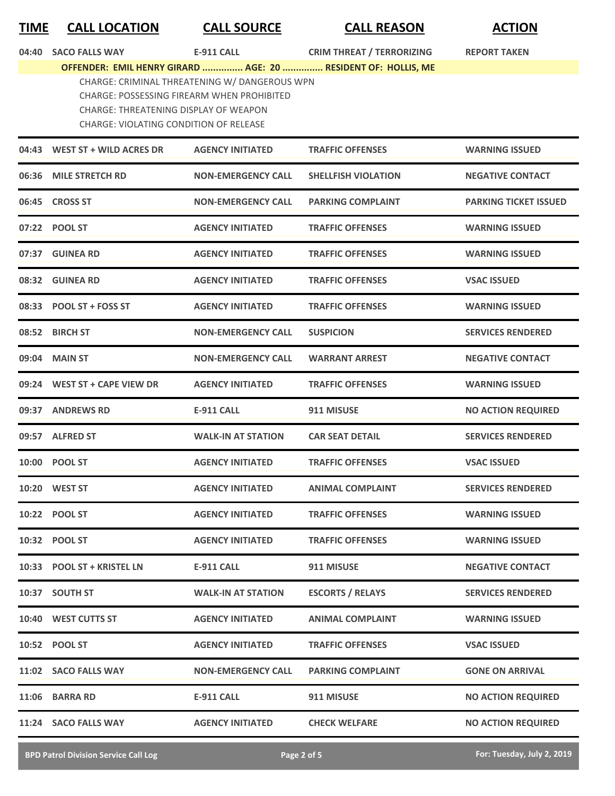## **TIME CALL LOCATION CALL SOURCE CALL REASON ACTION**

| 04:40 | <b>SACO FALLS WAY</b>                                                                                                                                                                 | E-911 CALL                | <b>CRIM THREAT / TERRORIZING</b>                              | <b>REPORT TAKEN</b>          |
|-------|---------------------------------------------------------------------------------------------------------------------------------------------------------------------------------------|---------------------------|---------------------------------------------------------------|------------------------------|
|       |                                                                                                                                                                                       |                           | OFFENDER: EMIL HENRY GIRARD  AGE: 20  RESIDENT OF: HOLLIS, ME |                              |
|       | CHARGE: CRIMINAL THREATENING W/ DANGEROUS WPN<br>CHARGE: POSSESSING FIREARM WHEN PROHIBITED<br>CHARGE: THREATENING DISPLAY OF WEAPON<br><b>CHARGE: VIOLATING CONDITION OF RELEASE</b> |                           |                                                               |                              |
|       | 04:43 WEST ST + WILD ACRES DR                                                                                                                                                         | <b>AGENCY INITIATED</b>   | <b>TRAFFIC OFFENSES</b>                                       | <b>WARNING ISSUED</b>        |
|       | 06:36 MILE STRETCH RD                                                                                                                                                                 | <b>NON-EMERGENCY CALL</b> | <b>SHELLFISH VIOLATION</b>                                    | <b>NEGATIVE CONTACT</b>      |
|       | 06:45 CROSS ST                                                                                                                                                                        | <b>NON-EMERGENCY CALL</b> | <b>PARKING COMPLAINT</b>                                      | <b>PARKING TICKET ISSUED</b> |
|       | 07:22 POOL ST                                                                                                                                                                         | <b>AGENCY INITIATED</b>   | <b>TRAFFIC OFFENSES</b>                                       | <b>WARNING ISSUED</b>        |
|       | 07:37 GUINEA RD                                                                                                                                                                       | <b>AGENCY INITIATED</b>   | <b>TRAFFIC OFFENSES</b>                                       | <b>WARNING ISSUED</b>        |
|       | 08:32 GUINEA RD                                                                                                                                                                       | <b>AGENCY INITIATED</b>   | <b>TRAFFIC OFFENSES</b>                                       | <b>VSAC ISSUED</b>           |
|       | 08:33 POOL ST + FOSS ST                                                                                                                                                               | <b>AGENCY INITIATED</b>   | <b>TRAFFIC OFFENSES</b>                                       | <b>WARNING ISSUED</b>        |
|       | 08:52 BIRCH ST                                                                                                                                                                        | <b>NON-EMERGENCY CALL</b> | <b>SUSPICION</b>                                              | <b>SERVICES RENDERED</b>     |
|       | 09:04 MAIN ST                                                                                                                                                                         | <b>NON-EMERGENCY CALL</b> | <b>WARRANT ARREST</b>                                         | <b>NEGATIVE CONTACT</b>      |
|       | 09:24 WEST ST + CAPE VIEW DR                                                                                                                                                          | <b>AGENCY INITIATED</b>   | <b>TRAFFIC OFFENSES</b>                                       | <b>WARNING ISSUED</b>        |
|       | 09:37 ANDREWS RD                                                                                                                                                                      | <b>E-911 CALL</b>         | 911 MISUSE                                                    | <b>NO ACTION REQUIRED</b>    |
|       | 09:57 ALFRED ST                                                                                                                                                                       | <b>WALK-IN AT STATION</b> | <b>CAR SEAT DETAIL</b>                                        | <b>SERVICES RENDERED</b>     |
|       | 10:00 POOL ST                                                                                                                                                                         | <b>AGENCY INITIATED</b>   | <b>TRAFFIC OFFENSES</b>                                       | <b>VSAC ISSUED</b>           |
|       | 10:20 WEST ST                                                                                                                                                                         | <b>AGENCY INITIATED</b>   | <b>ANIMAL COMPLAINT</b>                                       | <b>SERVICES RENDERED</b>     |
|       | 10:22 POOL ST                                                                                                                                                                         | <b>AGENCY INITIATED</b>   | <b>TRAFFIC OFFENSES</b>                                       | <b>WARNING ISSUED</b>        |
|       | 10:32 POOL ST                                                                                                                                                                         | <b>AGENCY INITIATED</b>   | <b>TRAFFIC OFFENSES</b>                                       | <b>WARNING ISSUED</b>        |
|       | 10:33 POOL ST + KRISTEL LN                                                                                                                                                            | <b>E-911 CALL</b>         | 911 MISUSE                                                    | <b>NEGATIVE CONTACT</b>      |
|       | 10:37 SOUTH ST                                                                                                                                                                        | <b>WALK-IN AT STATION</b> | <b>ESCORTS / RELAYS</b>                                       | <b>SERVICES RENDERED</b>     |
|       | 10:40 WEST CUTTS ST                                                                                                                                                                   | <b>AGENCY INITIATED</b>   | ANIMAL COMPLAINT                                              | <b>WARNING ISSUED</b>        |
|       | 10:52 POOL ST                                                                                                                                                                         | <b>AGENCY INITIATED</b>   | <b>TRAFFIC OFFENSES</b>                                       | <b>VSAC ISSUED</b>           |
|       | 11:02 SACO FALLS WAY                                                                                                                                                                  | <b>NON-EMERGENCY CALL</b> | <b>PARKING COMPLAINT</b>                                      | <b>GONE ON ARRIVAL</b>       |
|       | 11:06 BARRA RD                                                                                                                                                                        | <b>E-911 CALL</b>         | 911 MISUSE                                                    | <b>NO ACTION REQUIRED</b>    |
| 11:24 | <b>SACO FALLS WAY</b>                                                                                                                                                                 | <b>AGENCY INITIATED</b>   | <b>CHECK WELFARE</b>                                          | <b>NO ACTION REQUIRED</b>    |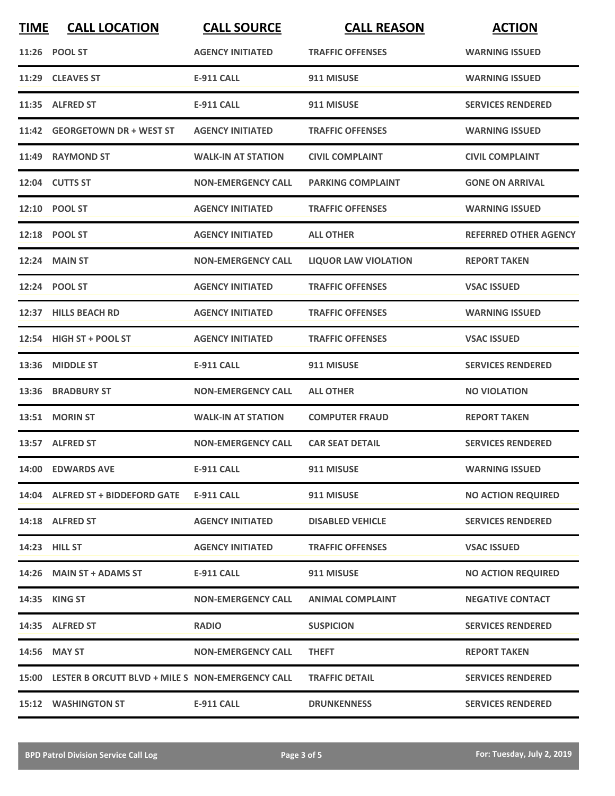| <b>TIME</b> | <b>CALL LOCATION</b>                                   | <b>CALL SOURCE</b>        | <b>CALL REASON</b>          | <b>ACTION</b>                |
|-------------|--------------------------------------------------------|---------------------------|-----------------------------|------------------------------|
|             | 11:26 POOL ST                                          | <b>AGENCY INITIATED</b>   | <b>TRAFFIC OFFENSES</b>     | <b>WARNING ISSUED</b>        |
|             | 11:29 CLEAVES ST                                       | <b>E-911 CALL</b>         | 911 MISUSE                  | <b>WARNING ISSUED</b>        |
|             | 11:35 ALFRED ST                                        | E-911 CALL                | 911 MISUSE                  | <b>SERVICES RENDERED</b>     |
|             | 11:42 GEORGETOWN DR + WEST ST                          | <b>AGENCY INITIATED</b>   | <b>TRAFFIC OFFENSES</b>     | <b>WARNING ISSUED</b>        |
|             | 11:49 RAYMOND ST                                       | <b>WALK-IN AT STATION</b> | <b>CIVIL COMPLAINT</b>      | <b>CIVIL COMPLAINT</b>       |
|             | 12:04 CUTTS ST                                         | <b>NON-EMERGENCY CALL</b> | <b>PARKING COMPLAINT</b>    | <b>GONE ON ARRIVAL</b>       |
|             | 12:10 POOL ST                                          | <b>AGENCY INITIATED</b>   | <b>TRAFFIC OFFENSES</b>     | <b>WARNING ISSUED</b>        |
|             | 12:18 POOL ST                                          | <b>AGENCY INITIATED</b>   | <b>ALL OTHER</b>            | <b>REFERRED OTHER AGENCY</b> |
|             | <b>12:24 MAIN ST</b>                                   | <b>NON-EMERGENCY CALL</b> | <b>LIQUOR LAW VIOLATION</b> | <b>REPORT TAKEN</b>          |
|             | 12:24 POOL ST                                          | <b>AGENCY INITIATED</b>   | <b>TRAFFIC OFFENSES</b>     | <b>VSAC ISSUED</b>           |
|             | 12:37 HILLS BEACH RD                                   | <b>AGENCY INITIATED</b>   | <b>TRAFFIC OFFENSES</b>     | <b>WARNING ISSUED</b>        |
|             | 12:54 HIGH ST + POOL ST                                | <b>AGENCY INITIATED</b>   | <b>TRAFFIC OFFENSES</b>     | <b>VSAC ISSUED</b>           |
| 13:36       | <b>MIDDLE ST</b>                                       | <b>E-911 CALL</b>         | 911 MISUSE                  | <b>SERVICES RENDERED</b>     |
| 13:36       | <b>BRADBURY ST</b>                                     | <b>NON-EMERGENCY CALL</b> | <b>ALL OTHER</b>            | <b>NO VIOLATION</b>          |
|             | 13:51 MORIN ST                                         | <b>WALK-IN AT STATION</b> | <b>COMPUTER FRAUD</b>       | <b>REPORT TAKEN</b>          |
|             | 13:57 ALFRED ST                                        | <b>NON-EMERGENCY CALL</b> | <b>CAR SEAT DETAIL</b>      | <b>SERVICES RENDERED</b>     |
|             | 14:00 EDWARDS AVE                                      | <b>E-911 CALL</b>         | 911 MISUSE                  | <b>WARNING ISSUED</b>        |
|             | 14:04 ALFRED ST + BIDDEFORD GATE                       | <b>E-911 CALL</b>         | 911 MISUSE                  | <b>NO ACTION REQUIRED</b>    |
|             | 14:18 ALFRED ST                                        | <b>AGENCY INITIATED</b>   | <b>DISABLED VEHICLE</b>     | <b>SERVICES RENDERED</b>     |
|             | 14:23 HILL ST                                          | <b>AGENCY INITIATED</b>   | <b>TRAFFIC OFFENSES</b>     | <b>VSAC ISSUED</b>           |
|             | 14:26 MAIN ST + ADAMS ST                               | E-911 CALL                | 911 MISUSE                  | <b>NO ACTION REQUIRED</b>    |
|             | 14:35 KING ST                                          | <b>NON-EMERGENCY CALL</b> | <b>ANIMAL COMPLAINT</b>     | <b>NEGATIVE CONTACT</b>      |
|             | 14:35 ALFRED ST                                        | <b>RADIO</b>              | <b>SUSPICION</b>            | <b>SERVICES RENDERED</b>     |
|             | 14:56 MAY ST                                           | <b>NON-EMERGENCY CALL</b> | <b>THEFT</b>                | <b>REPORT TAKEN</b>          |
|             | 15:00 LESTER B ORCUTT BLVD + MILE S NON-EMERGENCY CALL |                           | <b>TRAFFIC DETAIL</b>       | <b>SERVICES RENDERED</b>     |
|             | <b>15:12 WASHINGTON ST</b>                             | <b>E-911 CALL</b>         | <b>DRUNKENNESS</b>          | <b>SERVICES RENDERED</b>     |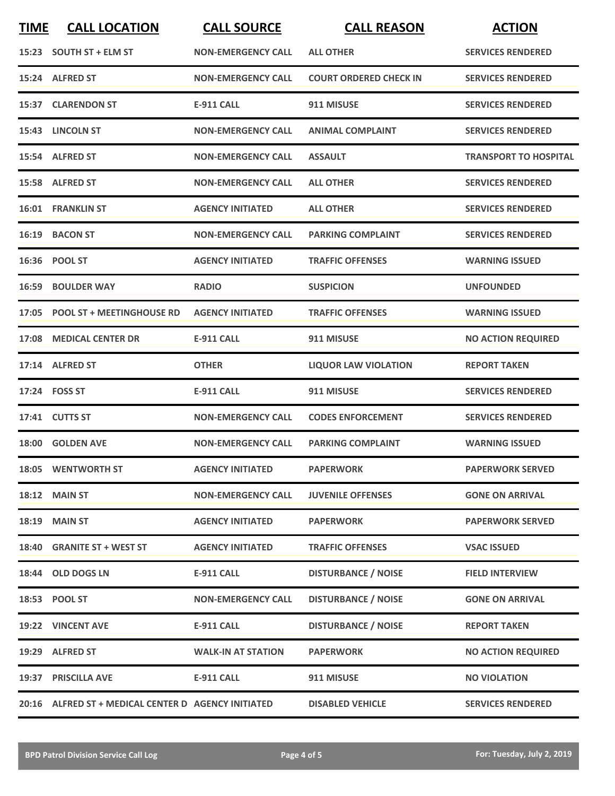| <b>TIME</b> | <b>CALL LOCATION</b>                                | <b>CALL SOURCE</b>        | <b>CALL REASON</b>            | <b>ACTION</b>                |
|-------------|-----------------------------------------------------|---------------------------|-------------------------------|------------------------------|
|             | 15:23 SOUTH ST + ELM ST                             | <b>NON-EMERGENCY CALL</b> | <b>ALL OTHER</b>              | <b>SERVICES RENDERED</b>     |
|             | 15:24 ALFRED ST                                     | <b>NON-EMERGENCY CALL</b> | <b>COURT ORDERED CHECK IN</b> | <b>SERVICES RENDERED</b>     |
|             | 15:37 CLARENDON ST                                  | <b>E-911 CALL</b>         | 911 MISUSE                    | <b>SERVICES RENDERED</b>     |
|             | 15:43 LINCOLN ST                                    | <b>NON-EMERGENCY CALL</b> | <b>ANIMAL COMPLAINT</b>       | <b>SERVICES RENDERED</b>     |
|             | 15:54 ALFRED ST                                     | <b>NON-EMERGENCY CALL</b> | <b>ASSAULT</b>                | <b>TRANSPORT TO HOSPITAL</b> |
|             | 15:58 ALFRED ST                                     | <b>NON-EMERGENCY CALL</b> | <b>ALL OTHER</b>              | <b>SERVICES RENDERED</b>     |
|             | <b>16:01 FRANKLIN ST</b>                            | <b>AGENCY INITIATED</b>   | <b>ALL OTHER</b>              | <b>SERVICES RENDERED</b>     |
| 16:19       | <b>BACON ST</b>                                     | <b>NON-EMERGENCY CALL</b> | <b>PARKING COMPLAINT</b>      | <b>SERVICES RENDERED</b>     |
|             | 16:36 POOL ST                                       | <b>AGENCY INITIATED</b>   | <b>TRAFFIC OFFENSES</b>       | <b>WARNING ISSUED</b>        |
|             | <b>16:59 BOULDER WAY</b>                            | <b>RADIO</b>              | <b>SUSPICION</b>              | <b>UNFOUNDED</b>             |
|             | 17:05 POOL ST + MEETINGHOUSE RD                     | <b>AGENCY INITIATED</b>   | <b>TRAFFIC OFFENSES</b>       | <b>WARNING ISSUED</b>        |
| 17:08       | <b>MEDICAL CENTER DR</b>                            | <b>E-911 CALL</b>         | 911 MISUSE                    | <b>NO ACTION REQUIRED</b>    |
|             | 17:14 ALFRED ST                                     | <b>OTHER</b>              | <b>LIQUOR LAW VIOLATION</b>   | <b>REPORT TAKEN</b>          |
|             | 17:24 FOSS ST                                       | <b>E-911 CALL</b>         | 911 MISUSE                    | <b>SERVICES RENDERED</b>     |
|             | 17:41 CUTTS ST                                      | <b>NON-EMERGENCY CALL</b> | <b>CODES ENFORCEMENT</b>      | <b>SERVICES RENDERED</b>     |
|             | 18:00 GOLDEN AVE                                    | <b>NON-EMERGENCY CALL</b> | <b>PARKING COMPLAINT</b>      | <b>WARNING ISSUED</b>        |
|             | 18:05 WENTWORTH ST                                  | <b>AGENCY INITIATED</b>   | <b>PAPERWORK</b>              | <b>PAPERWORK SERVED</b>      |
|             | <b>18:12 MAIN ST</b>                                | <b>NON-EMERGENCY CALL</b> | <b>JUVENILE OFFENSES</b>      | <b>GONE ON ARRIVAL</b>       |
| 18:19       | <b>MAIN ST</b>                                      | <b>AGENCY INITIATED</b>   | <b>PAPERWORK</b>              | <b>PAPERWORK SERVED</b>      |
|             | 18:40 GRANITE ST + WEST ST                          | <b>AGENCY INITIATED</b>   | <b>TRAFFIC OFFENSES</b>       | <b>VSAC ISSUED</b>           |
|             | 18:44 OLD DOGS LN                                   | <b>E-911 CALL</b>         | <b>DISTURBANCE / NOISE</b>    | <b>FIELD INTERVIEW</b>       |
|             | 18:53 POOL ST                                       | <b>NON-EMERGENCY CALL</b> | <b>DISTURBANCE / NOISE</b>    | <b>GONE ON ARRIVAL</b>       |
|             | 19:22 VINCENT AVE                                   | <b>E-911 CALL</b>         | <b>DISTURBANCE / NOISE</b>    | <b>REPORT TAKEN</b>          |
|             | 19:29 ALFRED ST                                     | <b>WALK-IN AT STATION</b> | <b>PAPERWORK</b>              | <b>NO ACTION REQUIRED</b>    |
|             | 19:37 PRISCILLA AVE                                 | <b>E-911 CALL</b>         | 911 MISUSE                    | <b>NO VIOLATION</b>          |
|             | 20:16 ALFRED ST + MEDICAL CENTER D AGENCY INITIATED |                           | <b>DISABLED VEHICLE</b>       | <b>SERVICES RENDERED</b>     |